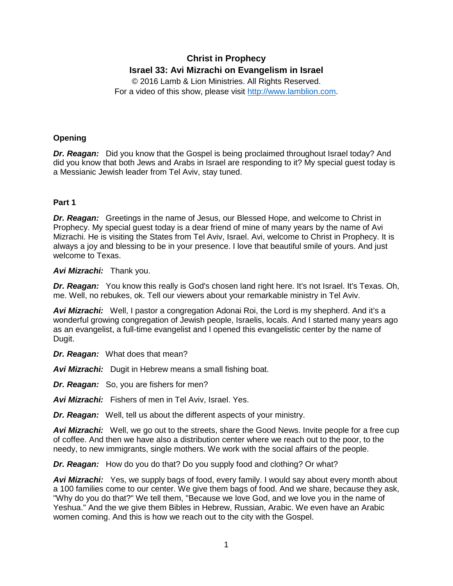# **Christ in Prophecy Israel 33: Avi Mizrachi on Evangelism in Israel**

© 2016 Lamb & Lion Ministries. All Rights Reserved. For a video of this show, please visit [http://www.lamblion.com.](http://www.lamblion.com/)

# **Opening**

*Dr. Reagan:* Did you know that the Gospel is being proclaimed throughout Israel today? And did you know that both Jews and Arabs in Israel are responding to it? My special guest today is a Messianic Jewish leader from Tel Aviv, stay tuned.

# **Part 1**

*Dr. Reagan:* Greetings in the name of Jesus, our Blessed Hope, and welcome to Christ in Prophecy. My special guest today is a dear friend of mine of many years by the name of Avi Mizrachi. He is visiting the States from Tel Aviv, Israel. Avi, welcome to Christ in Prophecy. It is always a joy and blessing to be in your presence. I love that beautiful smile of yours. And just welcome to Texas.

# *Avi Mizrachi:* Thank you.

*Dr. Reagan:* You know this really is God's chosen land right here. It's not Israel. It's Texas. Oh, me. Well, no rebukes, ok. Tell our viewers about your remarkable ministry in Tel Aviv.

*Avi Mizrachi:* Well, I pastor a congregation Adonai Roi, the Lord is my shepherd. And it's a wonderful growing congregation of Jewish people, Israelis, locals. And I started many years ago as an evangelist, a full-time evangelist and I opened this evangelistic center by the name of Dugit.

*Dr. Reagan:* What does that mean?

*Avi Mizrachi:* Dugit in Hebrew means a small fishing boat.

*Dr. Reagan:* So, you are fishers for men?

*Avi Mizrachi:* Fishers of men in Tel Aviv, Israel. Yes.

*Dr. Reagan:* Well, tell us about the different aspects of your ministry.

**Avi Mizrachi:** Well, we go out to the streets, share the Good News. Invite people for a free cup of coffee. And then we have also a distribution center where we reach out to the poor, to the needy, to new immigrants, single mothers. We work with the social affairs of the people.

*Dr. Reagan:* How do you do that? Do you supply food and clothing? Or what?

*Avi Mizrachi:* Yes, we supply bags of food, every family. I would say about every month about a 100 families come to our center. We give them bags of food. And we share, because they ask, "Why do you do that?" We tell them, "Because we love God, and we love you in the name of Yeshua." And the we give them Bibles in Hebrew, Russian, Arabic. We even have an Arabic women coming. And this is how we reach out to the city with the Gospel.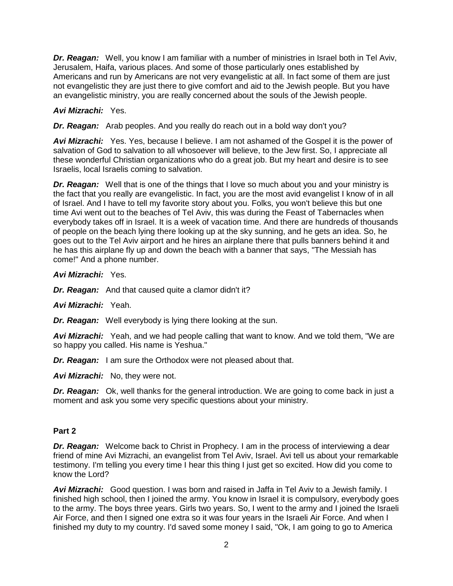*Dr. Reagan:* Well, you know I am familiar with a number of ministries in Israel both in Tel Aviv, Jerusalem, Haifa, various places. And some of those particularly ones established by Americans and run by Americans are not very evangelistic at all. In fact some of them are just not evangelistic they are just there to give comfort and aid to the Jewish people. But you have an evangelistic ministry, you are really concerned about the souls of the Jewish people.

# *Avi Mizrachi:* Yes.

*Dr. Reagan:* Arab peoples. And you really do reach out in a bold way don't you?

Avi Mizrachi: Yes. Yes, because I believe. I am not ashamed of the Gospel it is the power of salvation of God to salvation to all whosoever will believe, to the Jew first. So, I appreciate all these wonderful Christian organizations who do a great job. But my heart and desire is to see Israelis, local Israelis coming to salvation.

*Dr. Reagan:* Well that is one of the things that I love so much about you and your ministry is the fact that you really are evangelistic. In fact, you are the most avid evangelist I know of in all of Israel. And I have to tell my favorite story about you. Folks, you won't believe this but one time Avi went out to the beaches of Tel Aviv, this was during the Feast of Tabernacles when everybody takes off in Israel. It is a week of vacation time. And there are hundreds of thousands of people on the beach lying there looking up at the sky sunning, and he gets an idea. So, he goes out to the Tel Aviv airport and he hires an airplane there that pulls banners behind it and he has this airplane fly up and down the beach with a banner that says, "The Messiah has come!" And a phone number.

*Avi Mizrachi:* Yes.

*Dr. Reagan:* And that caused quite a clamor didn't it?

*Avi Mizrachi:* Yeah.

*Dr. Reagan:* Well everybody is lying there looking at the sun.

*Avi Mizrachi:* Yeah, and we had people calling that want to know. And we told them, "We are so happy you called. His name is Yeshua."

**Dr. Reagan:** I am sure the Orthodox were not pleased about that.

*Avi Mizrachi:* No, they were not.

*Dr. Reagan:* Ok, well thanks for the general introduction. We are going to come back in just a moment and ask you some very specific questions about your ministry.

# **Part 2**

*Dr. Reagan:* Welcome back to Christ in Prophecy. I am in the process of interviewing a dear friend of mine Avi Mizrachi, an evangelist from Tel Aviv, Israel. Avi tell us about your remarkable testimony. I'm telling you every time I hear this thing I just get so excited. How did you come to know the Lord?

*Avi Mizrachi:* Good question. I was born and raised in Jaffa in Tel Aviv to a Jewish family. I finished high school, then I joined the army. You know in Israel it is compulsory, everybody goes to the army. The boys three years. Girls two years. So, I went to the army and I joined the Israeli Air Force, and then I signed one extra so it was four years in the Israeli Air Force. And when I finished my duty to my country. I'd saved some money I said, "Ok, I am going to go to America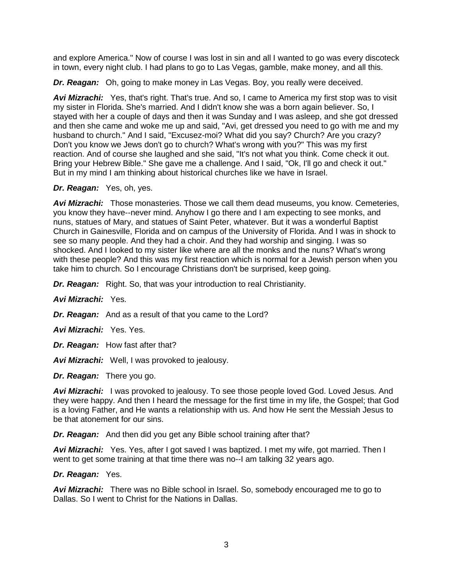and explore America." Now of course I was lost in sin and all I wanted to go was every discoteck in town, every night club. I had plans to go to Las Vegas, gamble, make money, and all this.

*Dr. Reagan:* Oh, going to make money in Las Vegas. Boy, you really were deceived.

Avi Mizrachi: Yes, that's right. That's true. And so, I came to America my first stop was to visit my sister in Florida. She's married. And I didn't know she was a born again believer. So, I stayed with her a couple of days and then it was Sunday and I was asleep, and she got dressed and then she came and woke me up and said, "Avi, get dressed you need to go with me and my husband to church." And I said, "Excusez-moi? What did you say? Church? Are you crazy? Don't you know we Jews don't go to church? What's wrong with you?" This was my first reaction. And of course she laughed and she said, "It's not what you think. Come check it out. Bring your Hebrew Bible." She gave me a challenge. And I said, "Ok, I'll go and check it out." But in my mind I am thinking about historical churches like we have in Israel.

# *Dr. Reagan:* Yes, oh, yes.

*Avi Mizrachi:* Those monasteries. Those we call them dead museums, you know. Cemeteries, you know they have--never mind. Anyhow I go there and I am expecting to see monks, and nuns, statues of Mary, and statues of Saint Peter, whatever. But it was a wonderful Baptist Church in Gainesville, Florida and on campus of the University of Florida. And I was in shock to see so many people. And they had a choir. And they had worship and singing. I was so shocked. And I looked to my sister like where are all the monks and the nuns? What's wrong with these people? And this was my first reaction which is normal for a Jewish person when you take him to church. So I encourage Christians don't be surprised, keep going.

*Dr. Reagan:* Right. So, that was your introduction to real Christianity.

*Avi Mizrachi:* Yes.

*Dr. Reagan:* And as a result of that you came to the Lord?

*Avi Mizrachi:* Yes. Yes.

*Dr. Reagan:* How fast after that?

*Avi Mizrachi:* Well, I was provoked to jealousy.

*Dr. Reagan:* There you go.

**Avi Mizrachi:** I was provoked to jealousy. To see those people loved God. Loved Jesus. And they were happy. And then I heard the message for the first time in my life, the Gospel; that God is a loving Father, and He wants a relationship with us. And how He sent the Messiah Jesus to be that atonement for our sins.

*Dr. Reagan:* And then did you get any Bible school training after that?

*Avi Mizrachi:* Yes. Yes, after I got saved I was baptized. I met my wife, got married. Then I went to get some training at that time there was no--I am talking 32 years ago.

### *Dr. Reagan:* Yes.

*Avi Mizrachi:* There was no Bible school in Israel. So, somebody encouraged me to go to Dallas. So I went to Christ for the Nations in Dallas.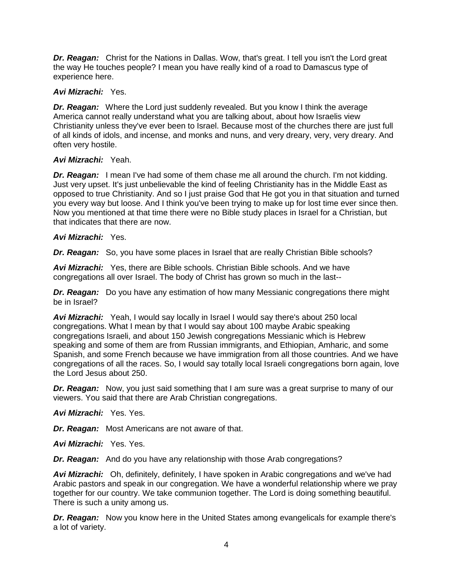*Dr. Reagan:* Christ for the Nations in Dallas. Wow, that's great. I tell you isn't the Lord great the way He touches people? I mean you have really kind of a road to Damascus type of experience here.

# *Avi Mizrachi:* Yes.

*Dr. Reagan:* Where the Lord just suddenly revealed. But you know I think the average America cannot really understand what you are talking about, about how Israelis view Christianity unless they've ever been to Israel. Because most of the churches there are just full of all kinds of idols, and incense, and monks and nuns, and very dreary, very, very dreary. And often very hostile.

# *Avi Mizrachi:* Yeah.

*Dr. Reagan:* I mean I've had some of them chase me all around the church. I'm not kidding. Just very upset. It's just unbelievable the kind of feeling Christianity has in the Middle East as opposed to true Christianity. And so I just praise God that He got you in that situation and turned you every way but loose. And I think you've been trying to make up for lost time ever since then. Now you mentioned at that time there were no Bible study places in Israel for a Christian, but that indicates that there are now.

# *Avi Mizrachi:* Yes.

*Dr. Reagan:* So, you have some places in Israel that are really Christian Bible schools?

*Avi Mizrachi:* Yes, there are Bible schools. Christian Bible schools. And we have congregations all over Israel. The body of Christ has grown so much in the last--

*Dr. Reagan:* Do you have any estimation of how many Messianic congregations there might be in Israel?

*Avi Mizrachi:* Yeah, I would say locally in Israel I would say there's about 250 local congregations. What I mean by that I would say about 100 maybe Arabic speaking congregations Israeli, and about 150 Jewish congregations Messianic which is Hebrew speaking and some of them are from Russian immigrants, and Ethiopian, Amharic, and some Spanish, and some French because we have immigration from all those countries. And we have congregations of all the races. So, I would say totally local Israeli congregations born again, love the Lord Jesus about 250.

*Dr. Reagan:* Now, you just said something that I am sure was a great surprise to many of our viewers. You said that there are Arab Christian congregations.

*Avi Mizrachi:* Yes. Yes.

*Dr. Reagan:* Most Americans are not aware of that.

*Avi Mizrachi:* Yes. Yes.

*Dr. Reagan:* And do you have any relationship with those Arab congregations?

*Avi Mizrachi:* Oh, definitely, definitely, I have spoken in Arabic congregations and we've had Arabic pastors and speak in our congregation. We have a wonderful relationship where we pray together for our country. We take communion together. The Lord is doing something beautiful. There is such a unity among us.

*Dr. Reagan:* Now you know here in the United States among evangelicals for example there's a lot of variety.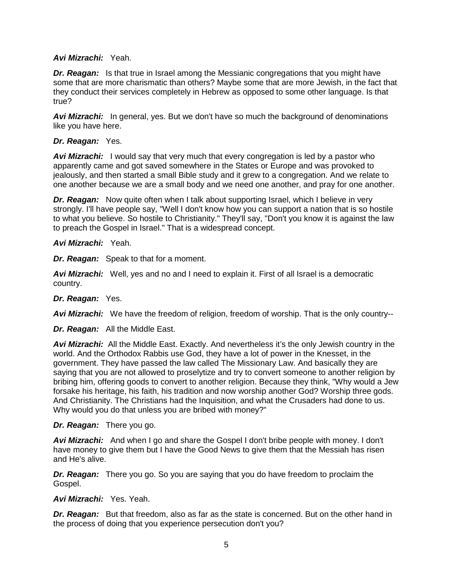# *Avi Mizrachi:* Yeah.

**Dr. Reagan:** Is that true in Israel among the Messianic congregations that you might have some that are more charismatic than others? Maybe some that are more Jewish, in the fact that they conduct their services completely in Hebrew as opposed to some other language. Is that true?

*Avi Mizrachi:* In general, yes. But we don't have so much the background of denominations like you have here.

### *Dr. Reagan:* Yes.

**Avi Mizrachi:** I would say that very much that every congregation is led by a pastor who apparently came and got saved somewhere in the States or Europe and was provoked to jealously, and then started a small Bible study and it grew to a congregation. And we relate to one another because we are a small body and we need one another, and pray for one another.

*Dr. Reagan:* Now quite often when I talk about supporting Israel, which I believe in very strongly. I'll have people say, "Well I don't know how you can support a nation that is so hostile to what you believe. So hostile to Christianity." They'll say, "Don't you know it is against the law to preach the Gospel in Israel." That is a widespread concept.

# *Avi Mizrachi:* Yeah.

*Dr. Reagan:* Speak to that for a moment.

*Avi Mizrachi:* Well, yes and no and I need to explain it. First of all Israel is a democratic country.

### *Dr. Reagan:* Yes.

*Avi Mizrachi:* We have the freedom of religion, freedom of worship. That is the only country--

*Dr. Reagan:* All the Middle East.

*Avi Mizrachi:* All the Middle East. Exactly. And nevertheless it's the only Jewish country in the world. And the Orthodox Rabbis use God, they have a lot of power in the Knesset, in the government. They have passed the law called The Missionary Law. And basically they are saying that you are not allowed to proselytize and try to convert someone to another religion by bribing him, offering goods to convert to another religion. Because they think, "Why would a Jew forsake his heritage, his faith, his tradition and now worship another God? Worship three gods. And Christianity. The Christians had the Inquisition, and what the Crusaders had done to us. Why would you do that unless you are bribed with money?"

### *Dr. Reagan:* There you go.

*Avi Mizrachi:* And when I go and share the Gospel I don't bribe people with money. I don't have money to give them but I have the Good News to give them that the Messiah has risen and He's alive.

*Dr. Reagan:* There you go. So you are saying that you do have freedom to proclaim the Gospel.

### *Avi Mizrachi:* Yes. Yeah.

**Dr. Reagan:** But that freedom, also as far as the state is concerned. But on the other hand in the process of doing that you experience persecution don't you?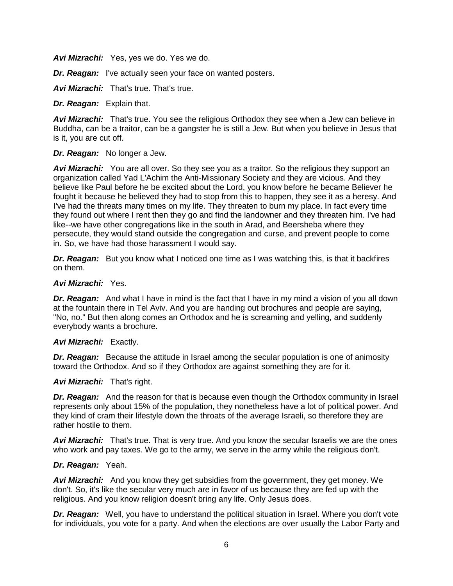*Avi Mizrachi:* Yes, yes we do. Yes we do.

*Dr. Reagan:* I've actually seen your face on wanted posters.

*Avi Mizrachi:* That's true. That's true.

*Dr. Reagan:* Explain that.

Avi Mizrachi: That's true. You see the religious Orthodox they see when a Jew can believe in Buddha, can be a traitor, can be a gangster he is still a Jew. But when you believe in Jesus that is it, you are cut off.

#### *Dr. Reagan:* No longer a Jew.

**Avi Mizrachi:** You are all over. So they see you as a traitor. So the religious they support an organization called Yad L'Achim the Anti-Missionary Society and they are vicious. And they believe like Paul before he be excited about the Lord, you know before he became Believer he fought it because he believed they had to stop from this to happen, they see it as a heresy. And I've had the threats many times on my life. They threaten to burn my place. In fact every time they found out where I rent then they go and find the landowner and they threaten him. I've had like--we have other congregations like in the south in Arad, and Beersheba where they persecute, they would stand outside the congregation and curse, and prevent people to come in. So, we have had those harassment I would say.

**Dr. Reagan:** But you know what I noticed one time as I was watching this, is that it backfires on them.

#### *Avi Mizrachi:* Yes.

*Dr. Reagan:* And what I have in mind is the fact that I have in my mind a vision of you all down at the fountain there in Tel Aviv. And you are handing out brochures and people are saying, "No, no." But then along comes an Orthodox and he is screaming and yelling, and suddenly everybody wants a brochure.

#### *Avi Mizrachi:* Exactly.

*Dr. Reagan:* Because the attitude in Israel among the secular population is one of animosity toward the Orthodox. And so if they Orthodox are against something they are for it.

### *Avi Mizrachi:* That's right.

*Dr. Reagan:* And the reason for that is because even though the Orthodox community in Israel represents only about 15% of the population, they nonetheless have a lot of political power. And they kind of cram their lifestyle down the throats of the average Israeli, so therefore they are rather hostile to them.

Avi Mizrachi: That's true. That is very true. And you know the secular Israelis we are the ones who work and pay taxes. We go to the army, we serve in the army while the religious don't.

#### *Dr. Reagan:* Yeah.

*Avi Mizrachi:* And you know they get subsidies from the government, they get money. We don't. So, it's like the secular very much are in favor of us because they are fed up with the religious. And you know religion doesn't bring any life. Only Jesus does.

*Dr. Reagan:* Well, you have to understand the political situation in Israel. Where you don't vote for individuals, you vote for a party. And when the elections are over usually the Labor Party and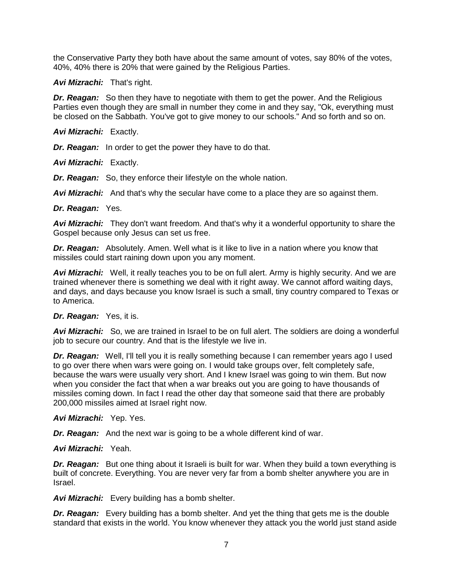the Conservative Party they both have about the same amount of votes, say 80% of the votes, 40%, 40% there is 20% that were gained by the Religious Parties.

### *Avi Mizrachi:* That's right.

*Dr. Reagan:* So then they have to negotiate with them to get the power. And the Religious Parties even though they are small in number they come in and they say, "Ok, everything must be closed on the Sabbath. You've got to give money to our schools." And so forth and so on.

#### *Avi Mizrachi:* Exactly.

*Dr. Reagan:* In order to get the power they have to do that.

*Avi Mizrachi:* Exactly.

*Dr. Reagan:* So, they enforce their lifestyle on the whole nation.

*Avi Mizrachi:* And that's why the secular have come to a place they are so against them.

*Dr. Reagan:* Yes.

Avi Mizrachi: They don't want freedom. And that's why it a wonderful opportunity to share the Gospel because only Jesus can set us free.

*Dr. Reagan:* Absolutely. Amen. Well what is it like to live in a nation where you know that missiles could start raining down upon you any moment.

*Avi Mizrachi:* Well, it really teaches you to be on full alert. Army is highly security. And we are trained whenever there is something we deal with it right away. We cannot afford waiting days, and days, and days because you know Israel is such a small, tiny country compared to Texas or to America.

#### *Dr. Reagan:* Yes, it is.

*Avi Mizrachi:* So, we are trained in Israel to be on full alert. The soldiers are doing a wonderful job to secure our country. And that is the lifestyle we live in.

*Dr. Reagan:* Well, I'll tell you it is really something because I can remember years ago I used to go over there when wars were going on. I would take groups over, felt completely safe, because the wars were usually very short. And I knew Israel was going to win them. But now when you consider the fact that when a war breaks out you are going to have thousands of missiles coming down. In fact I read the other day that someone said that there are probably 200,000 missiles aimed at Israel right now.

### *Avi Mizrachi:* Yep. Yes.

*Dr. Reagan:* And the next war is going to be a whole different kind of war.

### *Avi Mizrachi:* Yeah.

**Dr. Reagan:** But one thing about it Israeli is built for war. When they build a town everything is built of concrete. Everything. You are never very far from a bomb shelter anywhere you are in Israel.

*Avi Mizrachi:* Every building has a bomb shelter.

*Dr. Reagan:* Every building has a bomb shelter. And yet the thing that gets me is the double standard that exists in the world. You know whenever they attack you the world just stand aside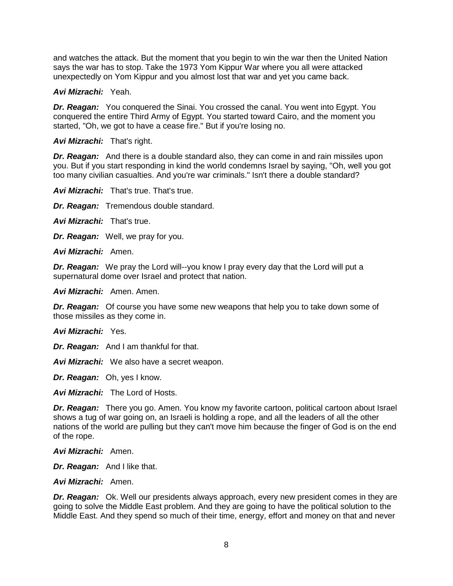and watches the attack. But the moment that you begin to win the war then the United Nation says the war has to stop. Take the 1973 Yom Kippur War where you all were attacked unexpectedly on Yom Kippur and you almost lost that war and yet you came back.

### *Avi Mizrachi:* Yeah.

*Dr. Reagan:* You conquered the Sinai. You crossed the canal. You went into Egypt. You conquered the entire Third Army of Egypt. You started toward Cairo, and the moment you started, "Oh, we got to have a cease fire." But if you're losing no.

*Avi Mizrachi:* That's right.

*Dr. Reagan:* And there is a double standard also, they can come in and rain missiles upon you. But if you start responding in kind the world condemns Israel by saying, "Oh, well you got too many civilian casualties. And you're war criminals." Isn't there a double standard?

*Avi Mizrachi:* That's true. That's true.

*Dr. Reagan:* Tremendous double standard.

*Avi Mizrachi:* That's true.

*Dr. Reagan:* Well, we pray for you.

*Avi Mizrachi:* Amen.

*Dr. Reagan:* We pray the Lord will--you know I pray every day that the Lord will put a supernatural dome over Israel and protect that nation.

*Avi Mizrachi:* Amen. Amen.

*Dr. Reagan:* Of course you have some new weapons that help you to take down some of those missiles as they come in.

*Avi Mizrachi:* Yes.

*Dr. Reagan:* And I am thankful for that.

*Avi Mizrachi:* We also have a secret weapon.

*Dr. Reagan:* Oh, yes I know.

*Avi Mizrachi:* The Lord of Hosts.

*Dr. Reagan:* There you go. Amen. You know my favorite cartoon, political cartoon about Israel shows a tug of war going on, an Israeli is holding a rope, and all the leaders of all the other nations of the world are pulling but they can't move him because the finger of God is on the end of the rope.

*Avi Mizrachi:* Amen.

*Dr. Reagan:* And I like that.

*Avi Mizrachi:* Amen.

*Dr. Reagan:* Ok. Well our presidents always approach, every new president comes in they are going to solve the Middle East problem. And they are going to have the political solution to the Middle East. And they spend so much of their time, energy, effort and money on that and never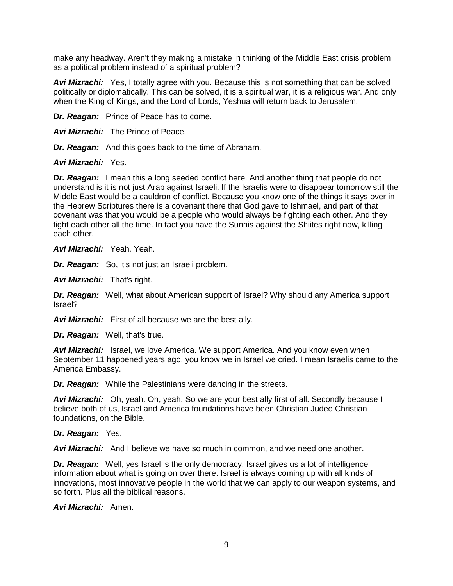make any headway. Aren't they making a mistake in thinking of the Middle East crisis problem as a political problem instead of a spiritual problem?

*Avi Mizrachi:* Yes, I totally agree with you. Because this is not something that can be solved politically or diplomatically. This can be solved, it is a spiritual war, it is a religious war. And only when the King of Kings, and the Lord of Lords, Yeshua will return back to Jerusalem.

*Dr. Reagan:* Prince of Peace has to come.

*Avi Mizrachi:* The Prince of Peace.

*Dr. Reagan:* And this goes back to the time of Abraham.

*Avi Mizrachi:* Yes.

*Dr. Reagan:* I mean this a long seeded conflict here. And another thing that people do not understand is it is not just Arab against Israeli. If the Israelis were to disappear tomorrow still the Middle East would be a cauldron of conflict. Because you know one of the things it says over in the Hebrew Scriptures there is a covenant there that God gave to Ishmael, and part of that covenant was that you would be a people who would always be fighting each other. And they fight each other all the time. In fact you have the Sunnis against the Shiites right now, killing each other.

*Avi Mizrachi:* Yeah. Yeah.

*Dr. Reagan:* So, it's not just an Israeli problem.

*Avi Mizrachi:* That's right.

*Dr. Reagan:* Well, what about American support of Israel? Why should any America support Israel?

*Avi Mizrachi:* First of all because we are the best ally.

*Dr. Reagan:* Well, that's true.

*Avi Mizrachi:* Israel, we love America. We support America. And you know even when September 11 happened years ago, you know we in Israel we cried. I mean Israelis came to the America Embassy.

*Dr. Reagan:* While the Palestinians were dancing in the streets.

**Avi Mizrachi:** Oh, yeah. Oh, yeah. So we are your best ally first of all. Secondly because I believe both of us, Israel and America foundations have been Christian Judeo Christian foundations, on the Bible.

# *Dr. Reagan:* Yes.

*Avi Mizrachi:* And I believe we have so much in common, and we need one another.

**Dr. Reagan:** Well, yes Israel is the only democracy. Israel gives us a lot of intelligence information about what is going on over there. Israel is always coming up with all kinds of innovations, most innovative people in the world that we can apply to our weapon systems, and so forth. Plus all the biblical reasons.

*Avi Mizrachi:* Amen.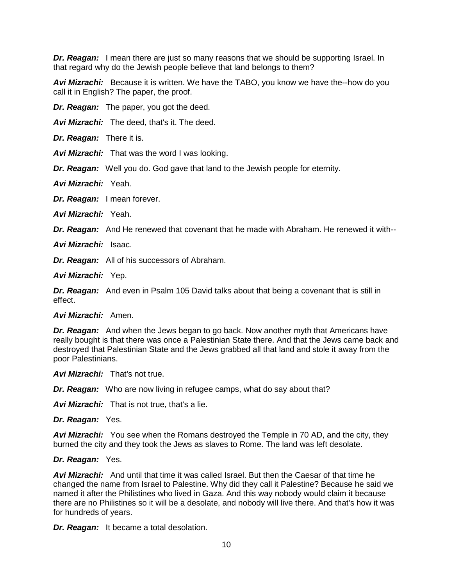*Dr. Reagan:* I mean there are just so many reasons that we should be supporting Israel. In that regard why do the Jewish people believe that land belongs to them?

*Avi Mizrachi:* Because it is written. We have the TABO, you know we have the--how do you call it in English? The paper, the proof.

*Dr. Reagan:* The paper, you got the deed.

*Avi Mizrachi:* The deed, that's it. The deed.

*Dr. Reagan:* There it is.

*Avi Mizrachi:* That was the word I was looking.

*Dr. Reagan:* Well you do. God gave that land to the Jewish people for eternity.

*Avi Mizrachi:* Yeah.

*Dr. Reagan:* I mean forever.

*Avi Mizrachi:* Yeah.

*Dr. Reagan:* And He renewed that covenant that he made with Abraham. He renewed it with--

*Avi Mizrachi:* Isaac.

*Dr. Reagan:* All of his successors of Abraham.

*Avi Mizrachi:* Yep.

*Dr. Reagan:* And even in Psalm 105 David talks about that being a covenant that is still in effect.

*Avi Mizrachi:* Amen.

*Dr. Reagan:* And when the Jews began to go back. Now another myth that Americans have really bought is that there was once a Palestinian State there. And that the Jews came back and destroyed that Palestinian State and the Jews grabbed all that land and stole it away from the poor Palestinians.

*Avi Mizrachi:* That's not true.

*Dr. Reagan:* Who are now living in refugee camps, what do say about that?

*Avi Mizrachi:* That is not true, that's a lie.

*Dr. Reagan:* Yes.

*Avi Mizrachi:* You see when the Romans destroyed the Temple in 70 AD, and the city, they burned the city and they took the Jews as slaves to Rome. The land was left desolate.

#### *Dr. Reagan:* Yes.

*Avi Mizrachi:* And until that time it was called Israel. But then the Caesar of that time he changed the name from Israel to Palestine. Why did they call it Palestine? Because he said we named it after the Philistines who lived in Gaza. And this way nobody would claim it because there are no Philistines so it will be a desolate, and nobody will live there. And that's how it was for hundreds of years.

*Dr. Reagan:* It became a total desolation.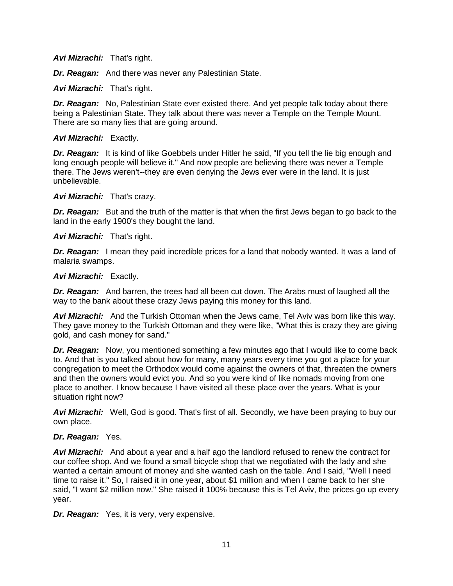# *Avi Mizrachi:* That's right.

*Dr. Reagan:* And there was never any Palestinian State.

# *Avi Mizrachi:* That's right.

*Dr. Reagan:* No, Palestinian State ever existed there. And yet people talk today about there being a Palestinian State. They talk about there was never a Temple on the Temple Mount. There are so many lies that are going around.

# *Avi Mizrachi:* Exactly.

*Dr. Reagan:* It is kind of like Goebbels under Hitler he said, "If you tell the lie big enough and long enough people will believe it." And now people are believing there was never a Temple there. The Jews weren't--they are even denying the Jews ever were in the land. It is just unbelievable.

### *Avi Mizrachi:* That's crazy.

*Dr. Reagan:* But and the truth of the matter is that when the first Jews began to go back to the land in the early 1900's they bought the land.

# *Avi Mizrachi:* That's right.

**Dr. Reagan:** I mean they paid incredible prices for a land that nobody wanted. It was a land of malaria swamps.

### *Avi Mizrachi:* Exactly.

*Dr. Reagan:* And barren, the trees had all been cut down. The Arabs must of laughed all the way to the bank about these crazy Jews paying this money for this land.

*Avi Mizrachi:* And the Turkish Ottoman when the Jews came, Tel Aviv was born like this way. They gave money to the Turkish Ottoman and they were like, "What this is crazy they are giving gold, and cash money for sand."

*Dr. Reagan:* Now, you mentioned something a few minutes ago that I would like to come back to. And that is you talked about how for many, many years every time you got a place for your congregation to meet the Orthodox would come against the owners of that, threaten the owners and then the owners would evict you. And so you were kind of like nomads moving from one place to another. I know because I have visited all these place over the years. What is your situation right now?

*Avi Mizrachi:* Well, God is good. That's first of all. Secondly, we have been praying to buy our own place.

### *Dr. Reagan:* Yes.

*Avi Mizrachi:* And about a year and a half ago the landlord refused to renew the contract for our coffee shop. And we found a small bicycle shop that we negotiated with the lady and she wanted a certain amount of money and she wanted cash on the table. And I said, "Well I need time to raise it." So, I raised it in one year, about \$1 million and when I came back to her she said, "I want \$2 million now." She raised it 100% because this is Tel Aviv, the prices go up every year.

*Dr. Reagan:* Yes, it is very, very expensive.